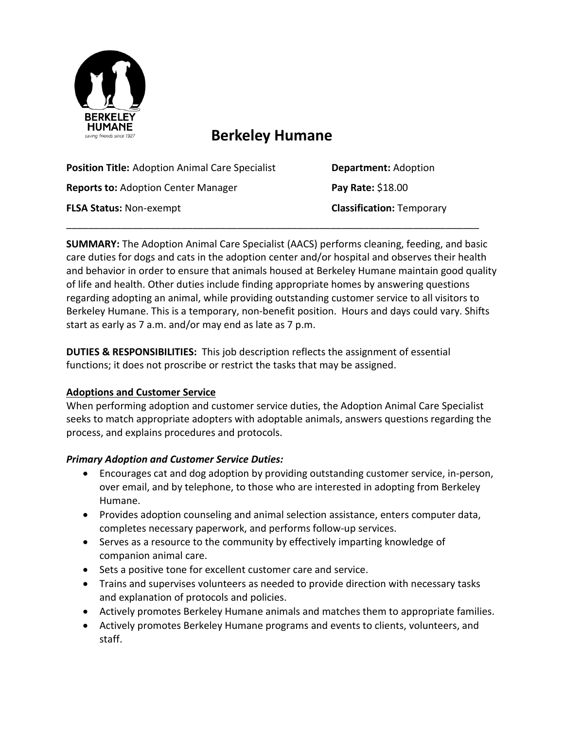

# **Berkeley Humane**

| <b>Position Title: Adoption Animal Care Specialist</b> | <b>Department: Adoption</b>      |
|--------------------------------------------------------|----------------------------------|
| <b>Reports to: Adoption Center Manager</b>             | Pay Rate: \$18.00                |
| <b>FLSA Status: Non-exempt</b>                         | <b>Classification: Temporary</b> |
|                                                        |                                  |

**SUMMARY:** The Adoption Animal Care Specialist (AACS) performs cleaning, feeding, and basic care duties for dogs and cats in the adoption center and/or hospital and observes their health and behavior in order to ensure that animals housed at Berkeley Humane maintain good quality of life and health. Other duties include finding appropriate homes by answering questions regarding adopting an animal, while providing outstanding customer service to all visitors to Berkeley Humane. This is a temporary, non-benefit position. Hours and days could vary. Shifts start as early as 7 a.m. and/or may end as late as 7 p.m.

**DUTIES & RESPONSIBILITIES:** This job description reflects the assignment of essential functions; it does not proscribe or restrict the tasks that may be assigned.

## **Adoptions and Customer Service**

When performing adoption and customer service duties, the Adoption Animal Care Specialist seeks to match appropriate adopters with adoptable animals, answers questions regarding the process, and explains procedures and protocols.

#### *Primary Adoption and Customer Service Duties:*

- Encourages cat and dog adoption by providing outstanding customer service, in-person, over email, and by telephone, to those who are interested in adopting from Berkeley Humane.
- Provides adoption counseling and animal selection assistance, enters computer data, completes necessary paperwork, and performs follow-up services.
- Serves as a resource to the community by effectively imparting knowledge of companion animal care.
- Sets a positive tone for excellent customer care and service.
- Trains and supervises volunteers as needed to provide direction with necessary tasks and explanation of protocols and policies.
- Actively promotes Berkeley Humane animals and matches them to appropriate families.
- Actively promotes Berkeley Humane programs and events to clients, volunteers, and staff.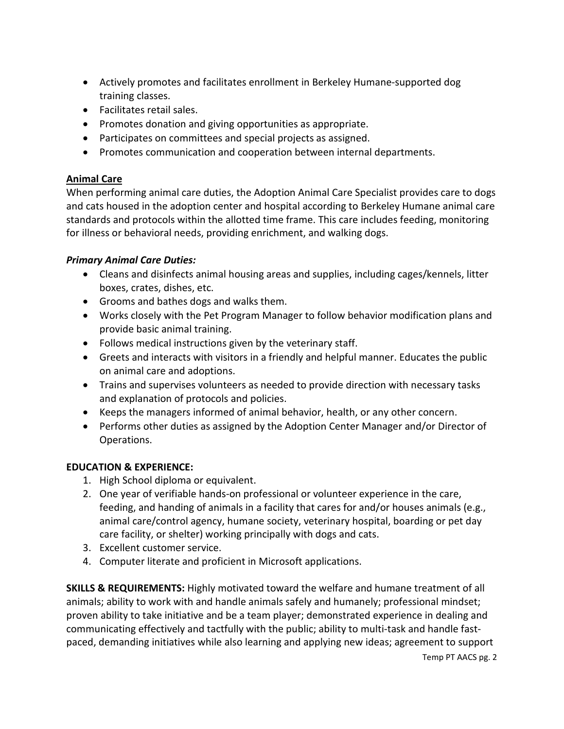- Actively promotes and facilitates enrollment in Berkeley Humane-supported dog training classes.
- Facilitates retail sales.
- Promotes donation and giving opportunities as appropriate.
- Participates on committees and special projects as assigned.
- Promotes communication and cooperation between internal departments.

## **Animal Care**

When performing animal care duties, the Adoption Animal Care Specialist provides care to dogs and cats housed in the adoption center and hospital according to Berkeley Humane animal care standards and protocols within the allotted time frame. This care includes feeding, monitoring for illness or behavioral needs, providing enrichment, and walking dogs.

#### *Primary Animal Care Duties:*

- Cleans and disinfects animal housing areas and supplies, including cages/kennels, litter boxes, crates, dishes, etc.
- Grooms and bathes dogs and walks them.
- Works closely with the Pet Program Manager to follow behavior modification plans and provide basic animal training.
- Follows medical instructions given by the veterinary staff.
- Greets and interacts with visitors in a friendly and helpful manner. Educates the public on animal care and adoptions.
- Trains and supervises volunteers as needed to provide direction with necessary tasks and explanation of protocols and policies.
- Keeps the managers informed of animal behavior, health, or any other concern.
- Performs other duties as assigned by the Adoption Center Manager and/or Director of Operations.

## **EDUCATION & EXPERIENCE:**

- 1. High School diploma or equivalent.
- 2. One year of verifiable hands-on professional or volunteer experience in the care, feeding, and handing of animals in a facility that cares for and/or houses animals (e.g., animal care/control agency, humane society, veterinary hospital, boarding or pet day care facility, or shelter) working principally with dogs and cats.
- 3. Excellent customer service.
- 4. Computer literate and proficient in Microsoft applications.

**SKILLS & REQUIREMENTS:** Highly motivated toward the welfare and humane treatment of all animals; ability to work with and handle animals safely and humanely; professional mindset; proven ability to take initiative and be a team player; demonstrated experience in dealing and communicating effectively and tactfully with the public; ability to multi-task and handle fastpaced, demanding initiatives while also learning and applying new ideas; agreement to support